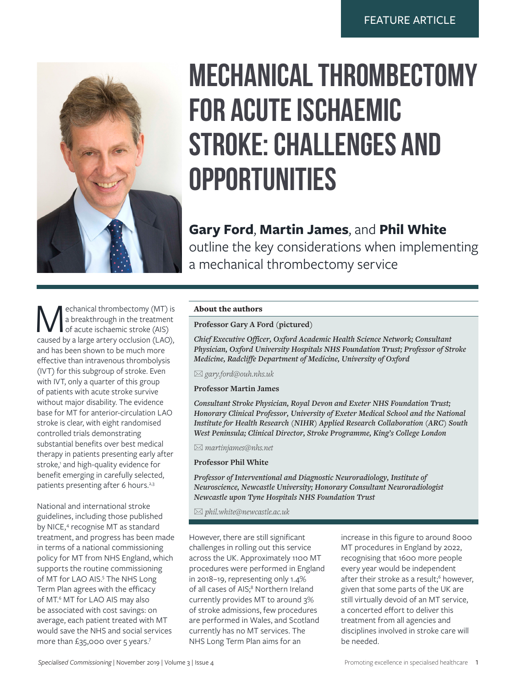

# mechanical thrombectomy for acute ischaemic stroke: challenges and **OPPORTUNITIES**

**Gary Ford**, **Martin James**, and **Phil White** outline the key considerations when implementing a mechanical thrombectomy service

**M**echanical thrombectomy (MT) is<br>a breakthrough in the treatment<br>of acute ischaemic stroke (AIS) a breakthrough in the treatment of acute ischaemic stroke (AIS) caused by a large artery occlusion (LAO), and has been shown to be much more effective than intravenous thrombolysis (IVT) for this subgroup of stroke. Even with IVT, only a quarter of this group of patients with acute stroke survive without major disability. The evidence base for MT for anterior-circulation LAO stroke is clear, with eight randomised controlled trials demonstrating substantial benefits over best medical therapy in patients presenting early after stroke,<sup>1</sup> and high-quality evidence for benefit emerging in carefully selected, patients presenting after 6 hours.<sup>2,3</sup>

National and international stroke guidelines, including those published by NICE,<sup>4</sup> recognise MT as standard treatment, and progress has been made in terms of a national commissioning policy for MT from NHS England, which supports the routine commissioning of MT for LAO AIS.<sup>5</sup> The NHS Long Term Plan agrees with the efficacy of MT.<sup>6</sup> MT for LAO AIS may also be associated with cost savings: on average, each patient treated with MT would save the NHS and social services more than £35,000 over 5 years.7

#### About the authors

**Professor Gary A Ford (pictured)**

*Chief Executive Officer, Oxford Academic Health Science Network; Consultant Physician, Oxford University Hospitals NHS Foundation Trust; Professor of Stroke Medicine, Radcliffe Department of Medicine, University of Oxford*

#### \* *gary.ford@ouh.nhs.uk*

#### **Professor Martin James**

*Consultant Stroke Physician, Royal Devon and Exeter NHS Foundation Trust; Honorary Clinical Professor, University of Exeter Medical School and the National Institute for Health Research (NIHR) Applied Research Collaboration (ARC) South West Peninsula; Clinical Director, Stroke Programme, King's College London*

\* *martinjames@nhs.net*

#### **Professor Phil White**

*Professor of Interventional and Diagnostic Neuroradiology, Institute of Neuroscience, Newcastle University; Honorary Consultant Neuroradiologist Newcastle upon Tyne Hospitals NHS Foundation Trust*

\* *phil.white@newcastle.ac.uk*

However, there are still significant challenges in rolling out this service across the UK. Approximately 1100 MT procedures were performed in England in 2018–19, representing only 1.4% of all cases of AIS;<sup>8</sup> Northern Ireland currently provides MT to around 3% of stroke admissions, few procedures are performed in Wales, and Scotland currently has no MT services. The NHS Long Term Plan aims for an

increase in this figure to around 8000 MT procedures in England by 2022, recognising that 1600 more people every year would be independent after their stroke as a result;<sup>6</sup> however, given that some parts of the UK are still virtually devoid of an MT service, a concerted effort to deliver this treatment from all agencies and disciplines involved in stroke care will be needed.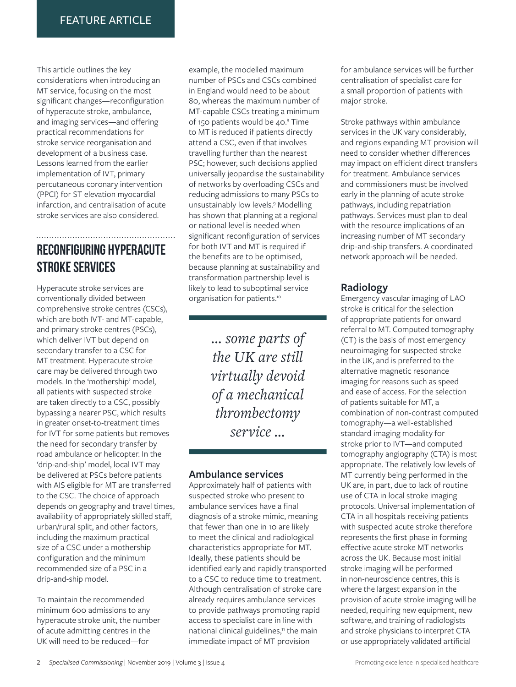This article outlines the key considerations when introducing an MT service, focusing on the most significant changes—reconfiguration of hyperacute stroke, ambulance, and imaging services—and offering practical recommendations for stroke service reorganisation and development of a business case. Lessons learned from the earlier implementation of IVT, primary percutaneous coronary intervention (PPCI) for ST elevation myocardial infarction, and centralisation of acute stroke services are also considered.

# Reconfiguring hyperacute stroke services

Hyperacute stroke services are conventionally divided between comprehensive stroke centres (CSCs), which are both IVT- and MT-capable, and primary stroke centres (PSCs), which deliver IVT but depend on secondary transfer to a CSC for MT treatment. Hyperacute stroke care may be delivered through two models. In the 'mothership' model, all patients with suspected stroke are taken directly to a CSC, possibly bypassing a nearer PSC, which results in greater onset-to-treatment times for IVT for some patients but removes the need for secondary transfer by road ambulance or helicopter. In the 'drip-and-ship' model, local IVT may be delivered at PSCs before patients with AIS eligible for MT are transferred to the CSC. The choice of approach depends on geography and travel times, availability of appropriately skilled staff, urban/rural split, and other factors, including the maximum practical size of a CSC under a mothership configuration and the minimum recommended size of a PSC in a drip-and-ship model.

To maintain the recommended minimum 600 admissions to any hyperacute stroke unit, the number of acute admitting centres in the UK will need to be reduced—for

example, the modelled maximum number of PSCs and CSCs combined in England would need to be about 80, whereas the maximum number of MT-capable CSCs treating a minimum of 150 patients would be 40.<sup>9</sup> Time to MT is reduced if patients directly attend a CSC, even if that involves travelling further than the nearest PSC; however, such decisions applied universally jeopardise the sustainability of networks by overloading CSCs and reducing admissions to many PSCs to unsustainably low levels.9 Modelling has shown that planning at a regional or national level is needed when significant reconfiguration of services for both IVT and MT is required if the benefits are to be optimised, because planning at sustainability and transformation partnership level is likely to lead to suboptimal service organisation for patients.10

> *… some parts of the UK are still virtually devoid of a mechanical thrombectomy service …*

#### **Ambulance services**

Approximately half of patients with suspected stroke who present to ambulance services have a final diagnosis of a stroke mimic, meaning that fewer than one in 10 are likely to meet the clinical and radiological characteristics appropriate for MT. Ideally, these patients should be identified early and rapidly transported to a CSC to reduce time to treatment. Although centralisation of stroke care already requires ambulance services to provide pathways promoting rapid access to specialist care in line with national clinical guidelines,<sup>11</sup> the main immediate impact of MT provision

for ambulance services will be further centralisation of specialist care for a small proportion of patients with major stroke.

Stroke pathways within ambulance services in the UK vary considerably, and regions expanding MT provision will need to consider whether differences may impact on efficient direct transfers for treatment. Ambulance services and commissioners must be involved early in the planning of acute stroke pathways, including repatriation pathways. Services must plan to deal with the resource implications of an increasing number of MT secondary drip-and-ship transfers. A coordinated network approach will be needed.

### **Radiology**

Emergency vascular imaging of LAO stroke is critical for the selection of appropriate patients for onward referral to MT. Computed tomography (CT) is the basis of most emergency neuroimaging for suspected stroke in the UK, and is preferred to the alternative magnetic resonance imaging for reasons such as speed and ease of access. For the selection of patients suitable for MT, a combination of non-contrast computed tomography—a well-established standard imaging modality for stroke prior to IVT—and computed tomography angiography (CTA) is most appropriate. The relatively low levels of MT currently being performed in the UK are, in part, due to lack of routine use of CTA in local stroke imaging protocols. Universal implementation of CTA in all hospitals receiving patients with suspected acute stroke therefore represents the first phase in forming effective acute stroke MT networks across the UK. Because most initial stroke imaging will be performed in non-neuroscience centres, this is where the largest expansion in the provision of acute stroke imaging will be needed, requiring new equipment, new software, and training of radiologists and stroke physicians to interpret CTA or use appropriately validated artificial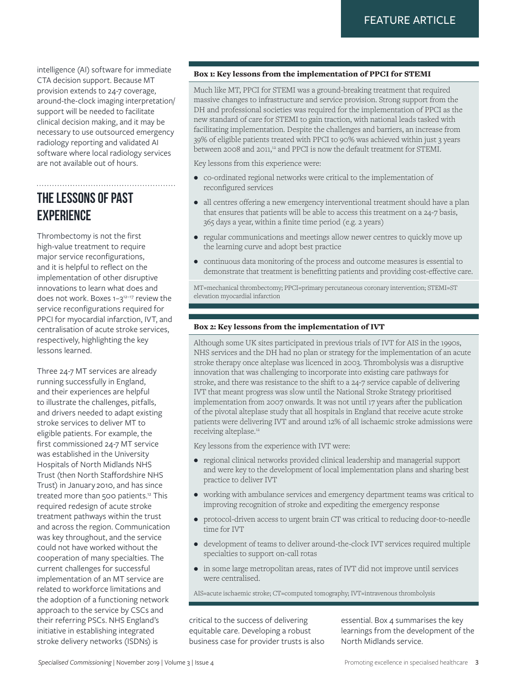intelligence (AI) software for immediate CTA decision support. Because MT provision extends to 24-7 coverage, around-the-clock imaging interpretation/ support will be needed to facilitate clinical decision making, and it may be necessary to use outsourced emergency radiology reporting and validated AI software where local radiology services are not available out of hours.

# The lessons of past **EXPERIENCE**

Thrombectomy is not the first high-value treatment to require major service reconfigurations, and it is helpful to reflect on the implementation of other disruptive innovations to learn what does and does not work. Boxes 1–312–17 review the service reconfigurations required for PPCI for myocardial infarction, IVT, and centralisation of acute stroke services, respectively, highlighting the key lessons learned.

Three 24-7 MT services are already running successfully in England, and their experiences are helpful to illustrate the challenges, pitfalls, and drivers needed to adapt existing stroke services to deliver MT to eligible patients. For example, the first commissioned 24-7 MT service was established in the University Hospitals of North Midlands NHS Trust (then North Staffordshire NHS Trust) in January 2010, and has since treated more than 500 patients.<sup>12</sup> This required redesign of acute stroke treatment pathways within the trust and across the region. Communication was key throughout, and the service could not have worked without the cooperation of many specialties. The current challenges for successful implementation of an MT service are related to workforce limitations and the adoption of a functioning network approach to the service by CSCs and their referring PSCs. NHS England's initiative in establishing integrated stroke delivery networks (ISDNs) is

#### Box 1: Key lessons from the implementation of PPCI for STEMI

Much like MT, PPCI for STEMI was a ground-breaking treatment that required massive changes to infrastructure and service provision. Strong support from the DH and professional societies was required for the implementation of PPCI as the new standard of care for STEMI to gain traction, with national leads tasked with facilitating implementation. Despite the challenges and barriers, an increase from 39% of eligible patients treated with PPCI to 90% was achieved within just 3 years between 2008 and 2011,<sup>12</sup> and PPCI is now the default treatment for STEMI.

Key lessons from this experience were:

- co-ordinated regional networks were critical to the implementation of reconfigured services
- all centres offering a new emergency interventional treatment should have a plan that ensures that patients will be able to access this treatment on a 24-7 basis, 365 days a year, within a finite time period (e.g. 2 years)
- regular communications and meetings allow newer centres to quickly move up the learning curve and adopt best practice
- continuous data monitoring of the process and outcome measures is essential to demonstrate that treatment is benefitting patients and providing cost-effective care.

MT=mechanical thrombectomy; PPCI=primary percutaneous coronary intervention; STEMI=ST elevation myocardial infarction

#### Box 2: Key lessons from the implementation of IVT

Although some UK sites participated in previous trials of IVT for AIS in the 1990s, NHS services and the DH had no plan or strategy for the implementation of an acute stroke therapy once alteplase was licenced in 2003. Thrombolysis was a disruptive innovation that was challenging to incorporate into existing care pathways for stroke, and there was resistance to the shift to a 24-7 service capable of delivering IVT that meant progress was slow until the National Stroke Strategy prioritised implementation from 2007 onwards. It was not until 17 years after the publication of the pivotal alteplase study that all hospitals in England that receive acute stroke patients were delivering IVT and around 12% of all ischaemic stroke admissions were receiving alteplase.<sup>12</sup>

Key lessons from the experience with IVT were:

- regional clinical networks provided clinical leadership and managerial support and were key to the development of local implementation plans and sharing best practice to deliver IVT
- working with ambulance services and emergency department teams was critical to improving recognition of stroke and expediting the emergency response
- protocol-driven access to urgent brain CT was critical to reducing door-to-needle time for IVT
- development of teams to deliver around-the-clock IVT services required multiple specialties to support on-call rotas
- in some large metropolitan areas, rates of IVT did not improve until services were centralised.

AIS=acute ischaemic stroke; CT=computed tomography; IVT=intravenous thrombolysis

critical to the success of delivering equitable care. Developing a robust business case for provider trusts is also essential. Box 4 summarises the key learnings from the development of the North Midlands service.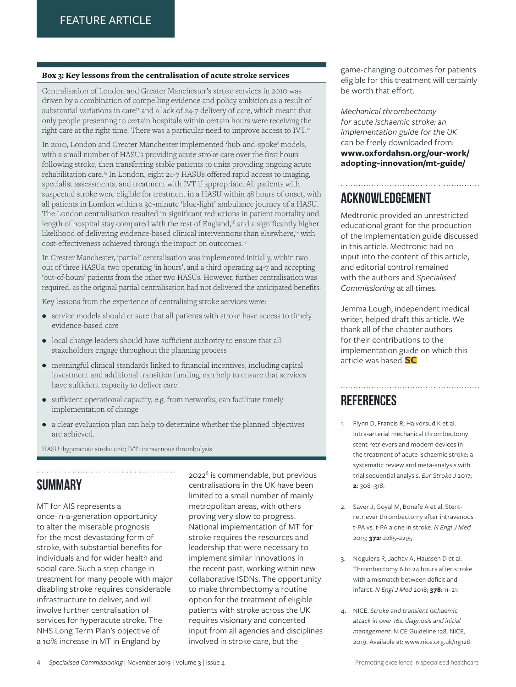#### Box 3: Key lessons from the centralisation of acute stroke services

Centralisation of London and Greater Manchester's stroke services in 2010 was driven by a combination of compelling evidence and policy ambition as a result of substantial variations in care<sup>13</sup> and a lack of 24-7 delivery of care, which meant that only people presenting to certain hospitals within certain hours were receiving the right care at the right time. There was a particular need to improve access to IVT.14

In 2010, London and Greater Manchester implemented 'hub-and-spoke' models, with a small number of HASUs providing acute stroke care over the first hours following stroke, then transferring stable patients to units providing ongoing acute rehabilitation care.15 In London, eight 24-7 HASUs offered rapid access to imaging, specialist assessments, and treatment with IVT if appropriate. All patients with suspected stroke were eligible for treatment in a HASU within 48 hours of onset, with all patients in London within a 30-minute 'blue-light' ambulance journey of a HASU. The London centralisation resulted in significant reductions in patient mortality and length of hospital stay compared with the rest of England,<sup>16</sup> and a significantly higher likelihood of delivering evidence-based clinical interventions than elsewhere,<sup>13</sup> with cost-effectiveness achieved through the impact on outcomes.17

In Greater Manchester, 'partial' centralisation was implemented initially, within two out of three HASUs: two operating 'in hours', and a third operating 24-7 and accepting 'out-of-hours' patients from the other two HASUs. However, further centralisation was required, as the original partial centralisation had not delivered the anticipated benefits.

Key lessons from the experience of centralising stroke services were:

- service models should ensure that all patients with stroke have access to timely evidence-based care
- local change leaders should have sufficient authority to ensure that all stakeholders engage throughout the planning process
- meaningful clinical standards linked to financial incentives, including capital investment and additional transition funding, can help to ensure that services have sufficient capacity to deliver care
- sufficient operational capacity, e.g. from networks, can facilitate timely implementation of change
- a clear evaluation plan can help to determine whether the planned objectives are achieved.

HASU=hyperacute stroke unit; IVT=intravenous thrombolysis

## **SUMMARY**

MT for AIS represents a once-in-a-generation opportunity to alter the miserable prognosis for the most devastating form of stroke, with substantial benefits for individuals and for wider health and social care. Such a step change in treatment for many people with major disabling stroke requires considerable infrastructure to deliver, and will involve further centralisation of services for hyperacute stroke. The NHS Long Term Plan's objective of a 10% increase in MT in England by

2022<sup>6</sup> is commendable, but previous centralisations in the UK have been limited to a small number of mainly metropolitan areas, with others proving very slow to progress. National implementation of MT for stroke requires the resources and leadership that were necessary to implement similar innovations in the recent past, working within new collaborative ISDNs. The opportunity to make thrombectomy a routine option for the treatment of eligible patients with stroke across the UK requires visionary and concerted input from all agencies and disciplines involved in stroke care, but the

game-changing outcomes for patients eligible for this treatment will certainly be worth that effort.

*Mechanical thrombectomy for acute ischaemic stroke: an implementation guide for the UK* can be freely downloaded from: **www.oxfordahsn.org/our-work/ adopting-innovation/mt-guide/**

## Acknowledgement

Medtronic provided an unrestricted educational grant for the production of the implementation guide discussed in this article. Medtronic had no input into the content of this article, and editorial control remained with the authors and *Specialised Commissioning* at all times.

Jemma Lough, independent medical writer, helped draft this article. We thank all of the chapter authors for their contributions to the implementation guide on which this article was based.**SC**

## **REFERENCES**

- Flynn D, Francis R, Halvorsud K et al. Intra-arterial mechanical thrombectomy stent retrievers and modern devices in the treatment of acute ischaemic stroke: a systematic review and meta-analysis with trial sequential analysis. *Eur Stroke J* 2017; **2**: 308–318.
- 2. Saver J, Goyal M, Bonafe A et al. Stentretriever thrombectomy after intravenous t-PA vs. t-PA alone in stroke. *N Engl J Med* 2015; **372**: 2285–2295.
- 3. Noguiera R, Jadhav A, Haussen D et al. Thrombectomy 6 to 24 hours after stroke with a mismatch between deficit and infarct. *N Engl J Med* 2018; **378**: 11–21.
- 4. NICE. *Stroke and transient ischaemic attack in over 16s: diagnosis and initial management*. NICE Guideline 128. NICE, 2019. Available at: www.nice.org.uk/ng128.